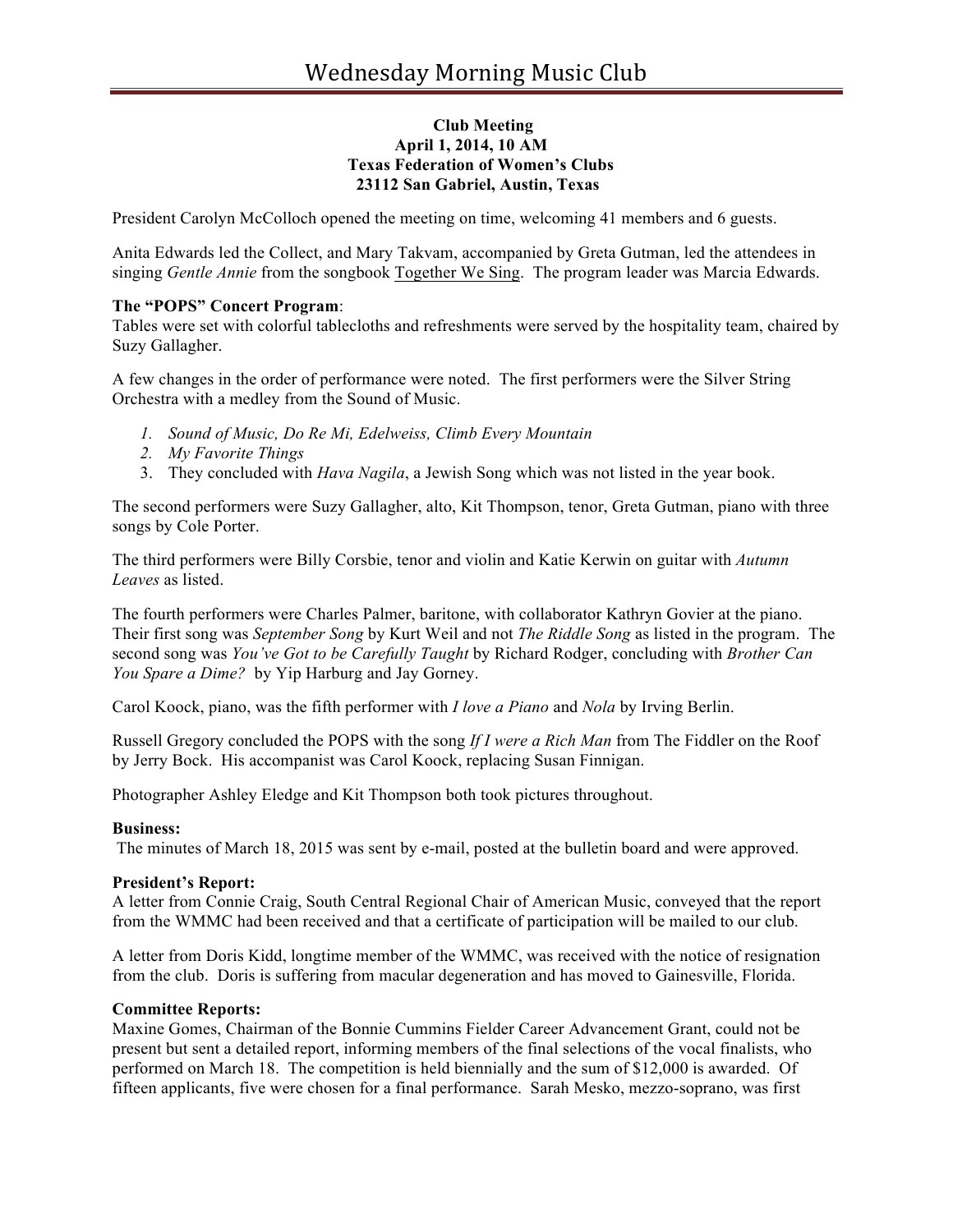# **Club Meeting April 1, 2014, 10 AM Texas Federation of Women's Clubs 23112 San Gabriel, Austin, Texas**

President Carolyn McColloch opened the meeting on time, welcoming 41 members and 6 guests.

Anita Edwards led the Collect, and Mary Takvam, accompanied by Greta Gutman, led the attendees in singing *Gentle Annie* from the songbook Together We Sing. The program leader was Marcia Edwards.

### **The "POPS" Concert Program**:

Tables were set with colorful tablecloths and refreshments were served by the hospitality team, chaired by Suzy Gallagher.

A few changes in the order of performance were noted. The first performers were the Silver String Orchestra with a medley from the Sound of Music.

- *1. Sound of Music, Do Re Mi, Edelweiss, Climb Every Mountain*
- *2. My Favorite Things*
- 3. They concluded with *Hava Nagila*, a Jewish Song which was not listed in the year book.

The second performers were Suzy Gallagher, alto, Kit Thompson, tenor, Greta Gutman, piano with three songs by Cole Porter.

The third performers were Billy Corsbie, tenor and violin and Katie Kerwin on guitar with *Autumn Leaves* as listed.

The fourth performers were Charles Palmer, baritone, with collaborator Kathryn Govier at the piano. Their first song was *September Song* by Kurt Weil and not *The Riddle Song* as listed in the program. The second song was *You've Got to be Carefully Taught* by Richard Rodger, concluding with *Brother Can You Spare a Dime?* by Yip Harburg and Jay Gorney.

Carol Koock, piano, was the fifth performer with *I love a Piano* and *Nola* by Irving Berlin.

Russell Gregory concluded the POPS with the song *If I were a Rich Man* from The Fiddler on the Roof by Jerry Bock. His accompanist was Carol Koock, replacing Susan Finnigan.

Photographer Ashley Eledge and Kit Thompson both took pictures throughout.

#### **Business:**

The minutes of March 18, 2015 was sent by e-mail, posted at the bulletin board and were approved.

#### **President's Report:**

A letter from Connie Craig, South Central Regional Chair of American Music, conveyed that the report from the WMMC had been received and that a certificate of participation will be mailed to our club.

A letter from Doris Kidd, longtime member of the WMMC, was received with the notice of resignation from the club. Doris is suffering from macular degeneration and has moved to Gainesville, Florida.

#### **Committee Reports:**

Maxine Gomes, Chairman of the Bonnie Cummins Fielder Career Advancement Grant, could not be present but sent a detailed report, informing members of the final selections of the vocal finalists, who performed on March 18. The competition is held biennially and the sum of \$12,000 is awarded. Of fifteen applicants, five were chosen for a final performance. Sarah Mesko, mezzo-soprano, was first